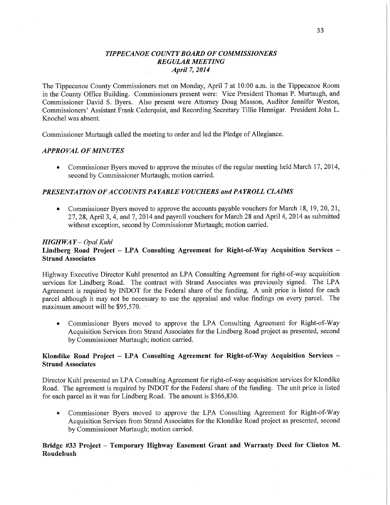#### *T IPPE CANOE COUNTY BOARD* OF *COMMISSIONERS REGULAR MEETING April* 7, *2014* **<sup>v</sup>** J.

The Tippecanoe County Commissioners met on Monday, April **7** at 10:00 am. in the Tippecanoe Room in the County **Office** Building. Commissioners present were: **Vice** President Thomas P. Murtaugh, and Commissioner David S. Byers. Also present were Attorney Doug Masson, Auditor Jennifer Weston, Commissioners' Assistant **Frank** Cederquist, and Recording Secretary Tillie Hennigar. President John L. Knochel was absent.

Commissioner Murtaugh called the meeting to order and led the Pledge of Allegiance.

## *APPROVAL* OF *MINUTES*

**0** Commissioner Byers moved to approve the minutes of the regular meeting held March 17, 2014, second by Commissioner Murtaugh; **motion** carried.

## *PRESENTATION* OF *ACCO* UN *T S* PA *YABLE VOUCHERS* and *PAYROLL CLAIMS*

**0** Commissioner Byers moved to approve the accounts payable vouchers for **March** 18, 19, 20, 21, 27, 28, **April** 3, 4, and 7, 2014 and payroll vouchers for March 28 and **April** 4, 2014 as submitted without **exception,** second by Commissioner Murtaugh; **motion** carried.

## *HIGH* WA *Y — Opal Kuhl*

# **Lindberg Road Project —** LPA **Consulting Agreement** for **Right-of-Way Acquisition Services** — **Strand Associates** '

Highway Executive Director Kuhl presented an LPA Consulting **Agreement** for right-of-way **acquisition**  services for Lindberg Road. The contract with Strand Associates was previously signed. The LPA Agreement is required by INDOT for the Federal **share** of the **funding. A** unit price is listed for each parcel although it may not be necessary to use the appraisal and value findings on every parcel. The maximum amount will be \$95,570. '

**0** Commissioner Byers moved to approve the LPA Consulting Agreement for Right-of—Way Acquisition Services from Strand Associates for the Lindberg Road **project** as presented, second by Commissioner Murtaugh; motion carried.

# **Klondike Road Project** -— LPA Consulting **Agreement** for **Right-of-Way Acquisition Services** *—* **Strand Associates**

Director Kuhl presented an LPA Consulting Agreement for right-of-way acquisition services for Klondike Road. The agreement is required by INDOT for the Federal share of the funding. The unit price is listed for each parcel as it was for Lindberg Road. The amount is \$366,830.

**0** Commissioner Byers moved to approve the LPA Consulting Agreement for Right-of-Way Acquisition Services from Strand Associates for the Klondike Road project as presented, second by Commissioner Murtaugh; motion **carried.** 

## **Bridge** #33 **Project — Temporary Highway Easement Grant** and **Warranty Deed** for **Clinton** M. **Roudebush**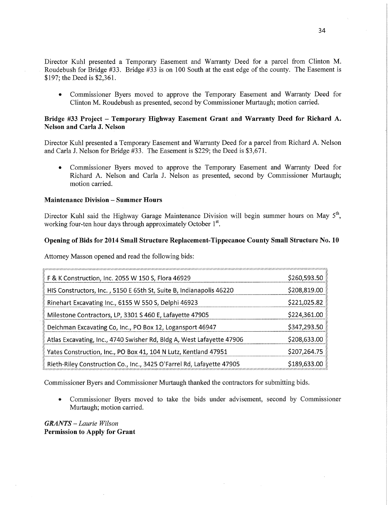Director Kuhl presented a Temporary Basement and Warranty Deed for a parcel from Clinton M. , Roudebush for Bridge #33. Bridge #33 is on 100 South at the east edge of the county. The Easement is \$197; the Deed is \$2,361.

**0** Commissioner Byers moved to approve the Temporary Easement and Warranty Deed for Clinton M. Roudebush as presented, second by Commissioner Murtaugh; motion carried.

## **Bridge** #33 **Project — Temporary Highway Easement Grant** ar'lwd **Warranty Deed** for **Richard** A. **Nelson** and **Carla** J. Nelson

Director Kuhl presented a Temporary Easement and Warranty Deed for a parcel from Richard A. Nelson and Carla J. Nelson for Bridge #33. The Easement is \$229; the Deed is \$3,671.

**0** Commissioner Byers moved to approve the Temporary Basement and Warranty Deed for Richard A. Nelson and Carla J. Nelson as presented, second by Commissioner Murtaugh; motion carried.

## **Maintenance Division** — **Summer Hours**

Director Kuhl said the Highway Garage Maintenance Division will begin summer hours on May  $5<sup>th</sup>$ , working four-ten hour days through approximately October 1<sup>st</sup>.

## **Opening** of **Bids** for **2014 Small Structure Replacement-Tippecanoe County** Small **Structure** No. 10

Attorney Masson opened and read the following bids:

| F & K Construction, Inc. 2055 W 150 S, Flora 46929                    | \$260,593.50 |
|-----------------------------------------------------------------------|--------------|
| HIS Constructors, Inc., 5150 E 65th St, Suite B, Indianapolis 46220   | \$208,819.00 |
| Rinehart Excavating Inc., 6155 W 550 S, Delphi 46923                  | \$221,025.82 |
| Milestone Contractors, LP, 3301 S 460 E, Lafayette 47905              | \$224,361.00 |
| Deichman Excavating Co, Inc., PO Box 12, Logansport 46947             | \$347,293.50 |
| Atlas Excavating, Inc., 4740 Swisher Rd, Bldg A, West Lafayette 47906 | \$208,633.00 |
| Yates Construction, Inc., PO Box 41, 104 N Lutz, Kentland 47951       | \$207,264.75 |
| Rieth-Riley Construction Co., Inc., 3425 O'Farrel Rd, Lafayette 47905 | \$189,633.00 |

Commissioner Byers and Commissioner Murtaugh thanked the contractors for submitting bids.

**0** Commissioner Byers moved to take the bids under advisement, second by Commissioner Murtaugh; motion carried.

*GRANTS — Laurie Wilson*  Permission to **Apply** for **Grant**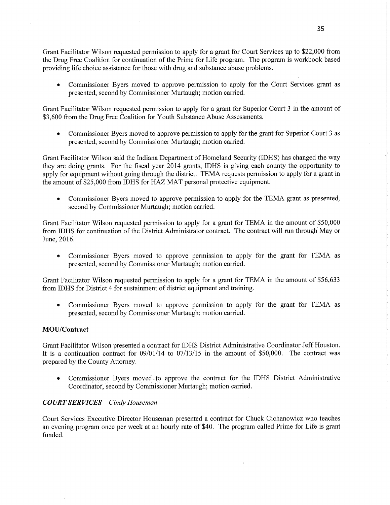Grant Facilitator Wilson requested permission to apply for a grant for Court Services up to \$22,000 from the Drug Free Coalition for continuation of the Prime for Life program. The program is workbook based providing life choice assistance for those with drug and substance abuse problems.

**0** Commissioner Byers moved to approve permission to apply for the Court Services grant as presented, second by Commissioner Murtaugh; motion carried

Grant Facilitator Wilson requested permission to apply for a grant for Superior Court 3 in the amount of \$3,600 from the Drug Free Coalition for Youth Substance Abuse Assessments.

**0** Commissioner Byers moved to approve permission to apply for the grant for Superior **Court** 3 as presented, second by Commissioner Murtaugh; motion carried.

Grant Facilitator Wilson said the Indiana Department of Homeland Security (IDHS) has changed the way they are doing grants. For the fiscal year 2014 grants, IDHS is giving each county the opportunity to apply for equipment without going through the district. TEMA requests permission to apply for a grant in the amount of \$25,000 from IDHS for HAZ MAT personal protective equipment.

**0** Commissioner Byers moved to approve permission to apply for the **TEMA** grant as presented, second by Commissioner Murtaugh; motion carried.

Grant Facilitator Wilson requested permission to apply for a grant for **TEMA** in the amount of \$50,000 from IDHS for continuation of the **District** Administrator contract. The **contract** will run through. May or June, 2016.

*0* Commissioner Byers moved to approve permission to apply for the grant for TEMA as presented, second by Commissioner Murtaugh; motion carried.

Grant Facilitator Wilson requested permission to apply for **a grant** for TEMA in the amount of **\$56,633**  from **IDHS** for District 4 for sustainment of district equipment and training.

**0** Commissioner Byers moved to approve **permission** to apply for the grant for **TEMA** as presented, second by Commissioner Murtaugh; motion carried.

## **MOU/Contract**

Grant Facilitator Wilson presented a contract for IDHS District Administrative Coordinator Jeff Houston. It is a continuation contract for  $09/01/14$  to  $07/13/15$  in the amount of \$50,000. The contract was prepared by the County **Attorney** 

*0* Commissioner Byers moved. to approve the **contract** for the IDHS District Administrative Coordinator, second by Commissioner Murtaugh; motion carried.

#### *COURT* SER *VICES* **—** *Cindy Houseman*

Court Services Executive Director Houseman presented a contract for Chuck Cichanowicz who teaches an evening program once per week at an hourly rate of \$40. The program called Prime for Life is gran<sup>t</sup> funded. '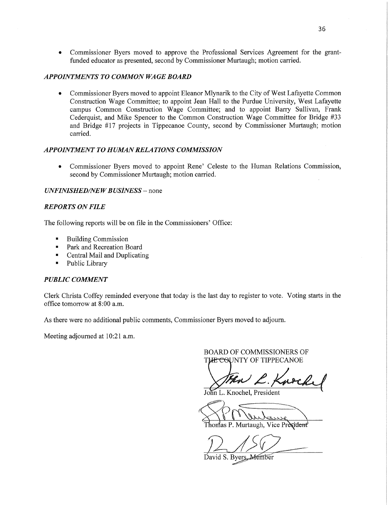**0** Commissioner Byers moved to approve the Professional Services Agreement for the grantfunded educator as presented, second by Commissioner Murtaugh; motion carried.

## **APPOINTMENTS TO COMMON WAGE BOARD**

**0** Commissioner Byers moved to appoint Eleanor Mlynarik to the City of West Lafayette Common Construction Wage Committee; to appoint Jean Hall to the Purdue University, West Lafayette campus Common Construction Wage Committee; and to appoint Barry Sullivan, Frank Cederquist, and Mike Spencer to the Common Construction Wage Committee for Bridge #33 and Bridge #17 projects in Tippecanoe County, second by Commissioner Murtaugh; motion carried.

## *APPOINTMENT* T0 *HUMAN RELA TIONS COMMISSION*

**0** Commissioner Byers moved to appoint Rene' Celeste to the Human Relations Commission, second by Commissioner Murtaugh; motion carried.

#### *UNFINISHED/NEW BUSINESS –* none

#### *REPORTS* ON *FILE*

The following reports will be on file in the Commissioners' Office:

- **I** Building Commission
- **Park and Recreation Board**
- **I** Central Mail and Duplicating
- **I** Public Library

#### *PUBLIC COMMENT*

Clerk Christa Coffey reminded everyone that today is the last day to register to vote. Voting starts in the office tomorrow at 8:00 am.

As there were no additional public comments, Commissioner Byers moved to adjourn.

Meeting adjourned at 10:21 a.m.

BOARD OF COMMISSIONERS OF **THE COUNTY OF TIPPECANOE** 

*s* 

John L. Knochel, President

PM entance Thomas P. Murtaugh, Vice Président<sup>)</sup>

 $12156/$ 

David S. Byers, Member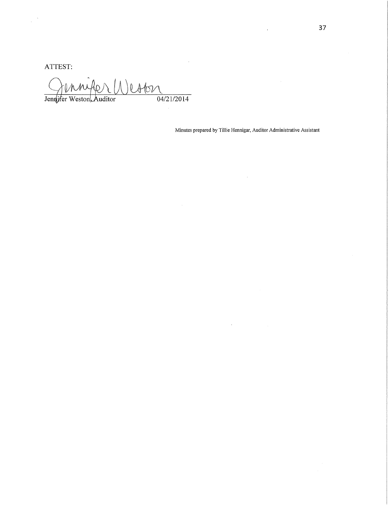ATTEST:

en letter W, Jennifer Weston, Auditor  $04/21/2014$ 

Minutes prepared by Tillie Hennigar, Auditor Administrative Assistant

 $\hat{\mathcal{L}}$